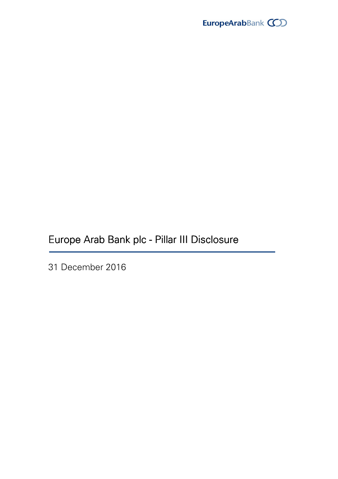

Europe Arab Bank plc - Pillar III Disclosure

31 December 2016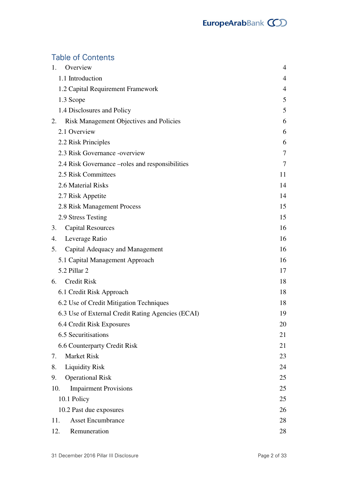# **Table of Contents**

| 1.  | Overview                                          | 4  |
|-----|---------------------------------------------------|----|
|     | 1.1 Introduction                                  | 4  |
|     | 1.2 Capital Requirement Framework                 | 4  |
|     | 1.3 Scope                                         | 5  |
|     | 1.4 Disclosures and Policy                        | 5  |
| 2.  | <b>Risk Management Objectives and Policies</b>    | 6  |
|     | 2.1 Overview                                      | 6  |
|     | 2.2 Risk Principles                               | 6  |
|     | 2.3 Risk Governance -overview                     | 7  |
|     | 2.4 Risk Governance –roles and responsibilities   | 7  |
|     | 2.5 Risk Committees                               | 11 |
|     | 2.6 Material Risks                                | 14 |
|     | 2.7 Risk Appetite                                 | 14 |
|     | 2.8 Risk Management Process                       | 15 |
|     | 2.9 Stress Testing                                | 15 |
| 3.  | <b>Capital Resources</b>                          | 16 |
| 4.  | Leverage Ratio                                    | 16 |
| 5.  | Capital Adequacy and Management                   | 16 |
|     | 5.1 Capital Management Approach                   | 16 |
|     | 5.2 Pillar 2                                      | 17 |
|     | 6. Credit Risk                                    | 18 |
|     | 6.1 Credit Risk Approach                          | 18 |
|     | 6.2 Use of Credit Mitigation Techniques           | 18 |
|     | 6.3 Use of External Credit Rating Agencies (ECAI) | 19 |
|     | 6.4 Credit Risk Exposures                         | 20 |
|     | 6.5 Securitisations                               | 21 |
|     | 6.6 Counterparty Credit Risk                      | 21 |
| 7.  | <b>Market Risk</b>                                | 23 |
| 8.  | <b>Liquidity Risk</b>                             | 24 |
| 9.  | <b>Operational Risk</b>                           | 25 |
| 10. | <b>Impairment Provisions</b>                      | 25 |
|     | 10.1 Policy                                       | 25 |
|     | 10.2 Past due exposures                           | 26 |
| 11. | <b>Asset Encumbrance</b>                          | 28 |
| 12. | Remuneration                                      | 28 |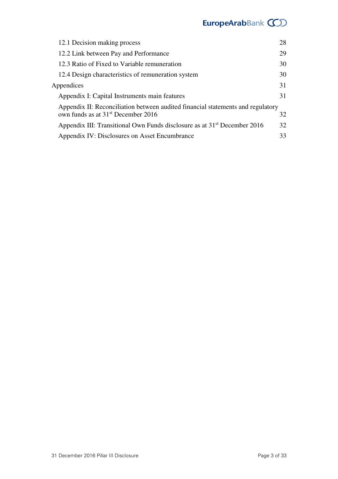# EuropeArabBank COD

| 12.1 Decision making process                                                         | 28 |
|--------------------------------------------------------------------------------------|----|
| 12.2 Link between Pay and Performance                                                | 29 |
| 12.3 Ratio of Fixed to Variable remuneration                                         | 30 |
| 12.4 Design characteristics of remuneration system                                   | 30 |
| Appendices                                                                           | 31 |
| Appendix I: Capital Instruments main features                                        | 31 |
| Appendix II: Reconciliation between audited financial statements and regulatory      |    |
| own funds as at 31 <sup>st</sup> December 2016                                       | 32 |
| Appendix III: Transitional Own Funds disclosure as at 31 <sup>st</sup> December 2016 | 32 |
| Appendix IV: Disclosures on Asset Encumbrance                                        | 33 |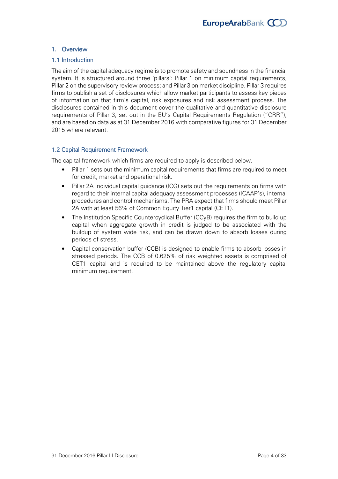# 1. Overview

## 1.1 Introduction

The aim of the capital adequacy regime is to promote safety and soundness in the financial system. It is structured around three 'pillars': Pillar 1 on minimum capital requirements; Pillar 2 on the supervisory review process; and Pillar 3 on market discipline. Pillar 3 requires firms to publish a set of disclosures which allow market participants to assess key pieces of information on that firm's capital, risk exposures and risk assessment process. The disclosures contained in this document cover the qualitative and quantitative disclosure requirements of Pillar 3, set out in the EU's Capital Requirements Regulation ("CRR"), and are based on data as at 31 December 2016 with comparative figures for 31 December 2015 where relevant.

## 1.2 Capital Requirement Framework

The capital framework which firms are required to apply is described below.

- Pillar 1 sets out the minimum capital requirements that firms are required to meet for credit, market and operational risk.
- Pillar 2A Individual capital guidance (ICG) sets out the requirements on firms with regard to their internal capital adequacy assessment processes (ICAAP's), internal procedures and control mechanisms. The PRA expect that firms should meet Pillar 2A with at least 56% of Common Equity Tier1 capital (CET1).
- The Institution Specific Countercyclical Buffer (CCyB) requires the firm to build up capital when aggregate growth in credit is judged to be associated with the buildup of system wide risk, and can be drawn down to absorb losses during periods of stress.
- Capital conservation buffer (CCB) is designed to enable firms to absorb losses in stressed periods. The CCB of 0.625% of risk weighted assets is comprised of CET1 capital and is required to be maintained above the regulatory capital minimum requirement.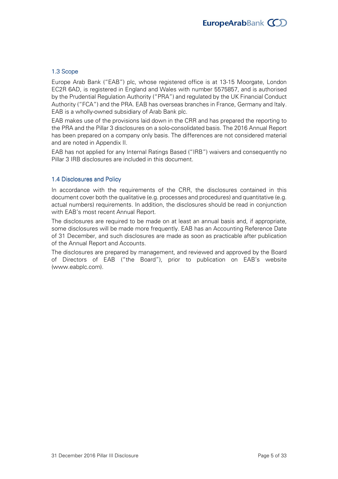# 1.3 Scope

Europe Arab Bank ("EAB") plc, whose registered office is at 13-15 Moorgate, London EC2R 6AD, is registered in England and Wales with number 5575857, and is authorised by the Prudential Regulation Authority ("PRA") and regulated by the UK Financial Conduct Authority ("FCA") and the PRA. EAB has overseas branches in France, Germany and Italy. EAB is a wholly-owned subsidiary of Arab Bank plc.

EAB makes use of the provisions laid down in the CRR and has prepared the reporting to the PRA and the Pillar 3 disclosures on a solo-consolidated basis. The 2016 Annual Report has been prepared on a company only basis. The differences are not considered material and are noted in Appendix II.

EAB has not applied for any Internal Ratings Based ("IRB") waivers and consequently no Pillar 3 IRB disclosures are included in this document.

## 1.4 Disclosures and Policy

In accordance with the requirements of the CRR, the disclosures contained in this document cover both the qualitative (e.g. processes and procedures) and quantitative (e.g. actual numbers) requirements. In addition, the disclosures should be read in conjunction with EAB's most recent Annual Report.

The disclosures are required to be made on at least an annual basis and, if appropriate, some disclosures will be made more frequently. EAB has an Accounting Reference Date of 31 December, and such disclosures are made as soon as practicable after publication of the Annual Report and Accounts.

The disclosures are prepared by management, and reviewed and approved by the Board of Directors of EAB ("the Board"), prior to publication on EAB's website (www.eabplc.com).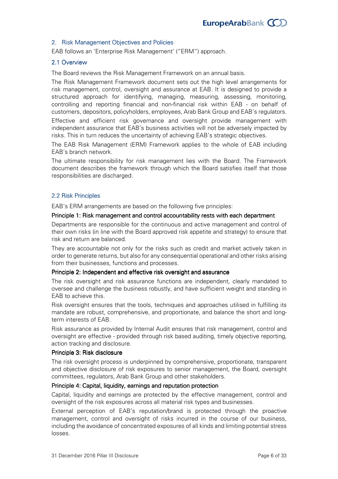# 2. Risk Management Objectives and Policies

EAB follows an 'Enterprise Risk Management' ("ERM") approach.

#### 2.1 Overview 2.1 Overview

The Board reviews the Risk Management Framework on an annual basis.

The Risk Management Framework document sets out the high level arrangements for risk management, control, oversight and assurance at EAB. It is designed to provide a structured approach for identifying, managing, measuring, assessing, monitoring, controlling and reporting financial and non-financial risk within EAB - on behalf of customers, depositors, policyholders, employees, Arab Bank Group and EAB's regulators.

Effective and efficient risk governance and oversight provide management with independent assurance that EAB's business activities will not be adversely impacted by risks. This in turn reduces the uncertainty of achieving EAB's strategic objectives.

The EAB Risk Management (ERM) Framework applies to the whole of EAB including EAB's branch network.

The ultimate responsibility for risk management lies with the Board. The Framework document describes the framework through which the Board satisfies itself that those responsibilities are discharged.

## 2.2 Risk Principles 2.2

EAB's ERM arrangements are based on the following five principles:

#### Principle 1: Risk management and control accountability rests with each department

Departments are responsible for the continuous and active management and control of their own risks (in line with the Board approved risk appetite and strategy) to ensure that risk and return are balanced.

They are accountable not only for the risks such as credit and market actively taken in order to generate returns, but also for any consequential operational and other risks arising from their businesses, functions and processes.

#### Principle 2: Independent and effective risk oversight and assurance

The risk oversight and risk assurance functions are independent, clearly mandated to oversee and challenge the business robustly, and have sufficient weight and standing in EAB to achieve this.

Risk oversight ensures that the tools, techniques and approaches utilised in fulfilling its mandate are robust, comprehensive, and proportionate, and balance the short and long term interests of EAB.

Risk assurance as provided by Internal Audit ensures that risk management, control and oversight are effective provided through risk based auditing, timely objective reporting, action tracking and disclosure.

#### Principle 3: Risk disclosure

The risk oversight process is underpinned by comprehensive, proportionate, transparent and objective disclosure of risk exposures to senior management, the Board, oversight committees, regulators, Arab Bank Group and other stakeholders.

#### Principle 4: Capital, liquidity, earnings and reputation protection

Capital, liquidity and earnings are protected by the effective management, control and oversight of the risk exposures across all material risk types and businesses.

External perception of EAB's reputation/brand is protected through the proactive management, control and oversight of risks incurred in the course of our business, including the avoidance of concentrated exposures of all kinds and limiting potential stress losses.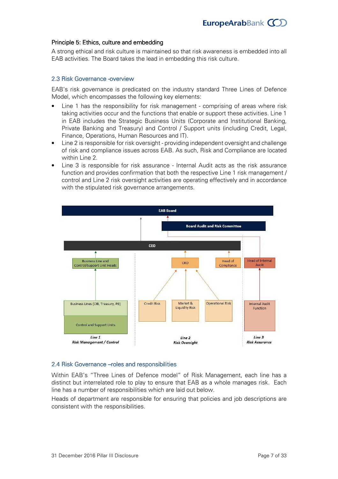# Principle 5: Ethics, culture and embedding

A strong ethical and risk culture is maintained so that risk awareness is embedded into all EAB activities. The Board takes the lead in embedding this risk culture.

## 2.3 Risk Governance -overview

EAB's risk governance is predicated on the industry standard Three Lines of Defence Model, which encompasses the following key elements:

- Line 1 has the responsibility for risk management comprising of areas where risk taking activities occur and the functions that enable or support these activities. Line 1 in EAB includes the Strategic Business Units (Corporate and Institutional Banking, Private Banking and Treasury) and Control / Support units (including Credit, Legal, Finance, Operations, Human Resources and IT).
- Line 2 is responsible for risk oversight providing independent oversight and challenge of risk and compliance issues across EAB. As such, Risk and Compliance are located within Line 2.
- Line 3 is responsible for risk assurance Internal Audit acts as the risk assurance function and provides confirmation that both the respective Line 1 risk management / control and Line 2 risk oversight activities are operating effectively and in accordance with the stipulated risk governance arrangements.



## 2.4 Risk Governance – roles and responsibilities

Within EAB's "Three Lines of Defence model" of Risk Management, each line has a distinct but interrelated role to play to ensure that EAB as a whole manages risk. Each line has a number of responsibilities which are laid out below.

Heads of department are responsible for ensuring that policies and job descriptions are consistent with the responsibilities.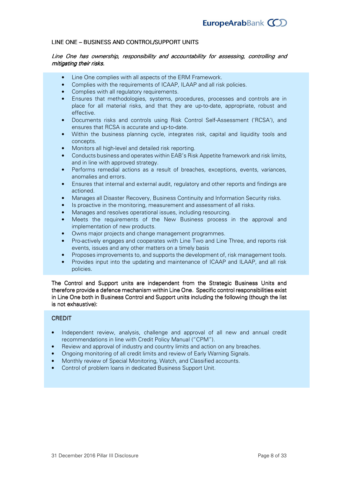#### LINE ONE - BUSINESS AND CONTROL/SUPPORT UNITS

#### Line One has ownership, responsibility and accountability for assessing, controlling and mitigating their risks.

- Line One complies with all aspects of the ERM Framework.
- Complies with the requirements of ICAAP, ILAAP and all risk policies.
- Complies with all regulatory requirements.
- Ensures that methodologies, systems, procedures, processes and controls are in place for all material risks, and that they are up-to-date, appropriate, robust and effective.
- Documents risks and controls using Risk Control Self-Assessment ('RCSA'), and ensures that RCSA is accurate and up-to-date.
- Within the business planning cycle, integrates risk, capital and liquidity tools and concepts.
- Monitors all high-level and detailed risk reporting.
- Conducts business and operates within EAB's Risk Appetite framework and risk limits, and in line with approved strategy.
- Performs remedial actions as a result of breaches, exceptions, events, variances, anomalies and errors.
- Ensures that internal and external audit, regulatory and other reports and findings are actioned.
- Manages all Disaster Recovery, Business Continuity and Information Security risks.
- Is proactive in the monitoring, measurement and assessment of all risks.
- Manages and resolves operational issues, including resourcing.
- Meets the requirements of the New Business process in the approval and implementation of new products.
- Owns major projects and change management programmes.
- Pro-actively engages and cooperates with Line Two and Line Three, and reports risk events, issues and any other matters on a timely basis
- Proposes improvements to, and supports the development of, risk management tools.
- Provides input into the updating and maintenance of ICAAP and ILAAP, and all risk policies.

The Control and Support units are independent from the Strategic Business Units and therefore provide a defence mechanism within Line One. Specific control responsibilities exist in Line One both in Business Control and Support units including the following (though the list is not exhaustive):

#### **CREDIT**

- Independent review, analysis, challenge and approval of all new and annual credit recommendations in line with Credit Policy Manual ("CPM").
- Review and approval of industry and country limits and action on any breaches.
- Ongoing monitoring of all credit limits and review of Early Warning Signals.
- Monthly review of Special Monitoring, Watch, and Classified accounts.
- Control of problem loans in dedicated Business Support Unit.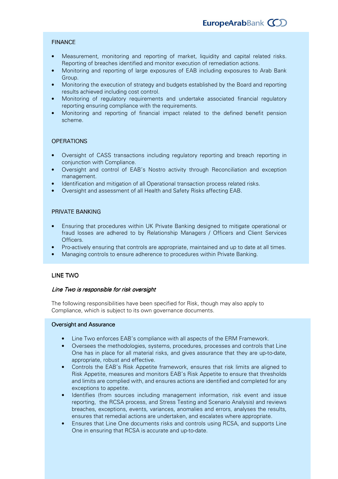## **FINANCE**

- Measurement, monitoring and reporting of market, liquidity and capital related risks. Reporting of breaches identified and monitor execution of remediation actions.
- Monitoring and reporting of large exposures of EAB including exposures to Arab Bank Group.
- Monitoring the execution of strategy and budgets established by the Board and reporting results achieved including cost control.
- Monitoring of regulatory requirements and undertake associated financial regulatory reporting ensuring compliance with the requirements.
- Monitoring and reporting of financial impact related to the defined benefit pension scheme.

#### **OPERATIONS**

- Oversight of CASS transactions including regulatory reporting and breach reporting in conjunction with Compliance.
- Oversight and control of EAB's Nostro activity through Reconciliation and exception management.
- Identification and mitigation of all Operational transaction process related risks.
- Oversight and assessment of all Health and Safety Risks affecting EAB.

## PRIVATE BANKING

- Ensuring that procedures within UK Private Banking designed to mitigate operational or fraud losses are adhered to by Relationship Managers / Officers and Client Services Officers.
- Pro-actively ensuring that controls are appropriate, maintained and up to date at all times.
- Managing controls to ensure adherence to procedures within Private Banking.

#### LINE TWO

#### Line Two is responsible for risk oversight

The following responsibilities have been specified for Risk, though may also apply to Compliance, which is subject to its own governance documents.

#### Oversight and Assurance

- Line Two enforces EAB's compliance with all aspects of the ERM Framework.
- Oversees the methodologies, systems, procedures, processes and controls that Line One has in place for all material risks, and gives assurance that they are up-to-date, appropriate, robust and effective.
- Controls the EAB's Risk Appetite framework, ensures that risk limits are aligned to Risk Appetite, measures and monitors EAB's Risk Appetite to ensure that thresholds and limits are complied with, and ensures actions are identified and completed for any exceptions to appetite.
- Identifies (from sources including management information, risk event and issue reporting, the RCSA process, and Stress Testing and Scenario Analysis) and reviews breaches, exceptions, events, variances, anomalies and errors, analyses the results, ensures that remedial actions are undertaken, and escalates where appropriate.
- Ensures that Line One documents risks and controls using RCSA, and supports Line One in ensuring that RCSA is accurate and up-to-date.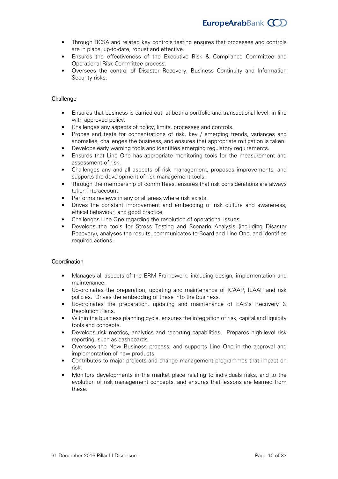- Through RCSA and related key controls testing ensures that processes and controls are in place, up-to-date, robust and effective.
- Ensures the effectiveness of the Executive Risk & Compliance Committee and Operational Risk Committee process.
- Oversees the control of Disaster Recovery, Business Continuity and Information Security risks.

## **Challenge**

- Ensures that business is carried out, at both a portfolio and transactional level, in line with approved policy.
- Challenges any aspects of policy, limits, processes and controls.
- Probes and tests for concentrations of risk, key / emerging trends, variances and anomalies, challenges the business, and ensures that appropriate mitigation is taken.
- Develops early warning tools and identifies emerging regulatory requirements.
- Ensures that Line One has appropriate monitoring tools for the measurement and assessment of risk.
- Challenges any and all aspects of risk management, proposes improvements, and supports the development of risk management tools.
- Through the membership of committees, ensures that risk considerations are always taken into account.
- Performs reviews in any or all areas where risk exists.
- Drives the constant improvement and embedding of risk culture and awareness, ethical behaviour, and good practice.
- Challenges Line One regarding the resolution of operational issues.
- Develops the tools for Stress Testing and Scenario Analysis (including Disaster Recovery), analyses the results, communicates to Board and Line One, and identifies required actions.

#### **Coordination**

- Manages all aspects of the ERM Framework, including design, implementation and maintenance.
- Co-ordinates the preparation, updating and maintenance of ICAAP, ILAAP and risk policies. Drives the embedding of these into the business.
- Co-ordinates the preparation, updating and maintenance of EAB's Recovery & Resolution Plans.
- Within the business planning cycle, ensures the integration of risk, capital and liquidity tools and concepts.
- Develops risk metrics, analytics and reporting capabilities. Prepares high-level risk reporting, such as dashboards.
- Oversees the New Business process, and supports Line One in the approval and implementation of new products.
- Contributes to major projects and change management programmes that impact on risk.
- Monitors developments in the market place relating to individuals risks, and to the evolution of risk management concepts, and ensures that lessons are learned from these.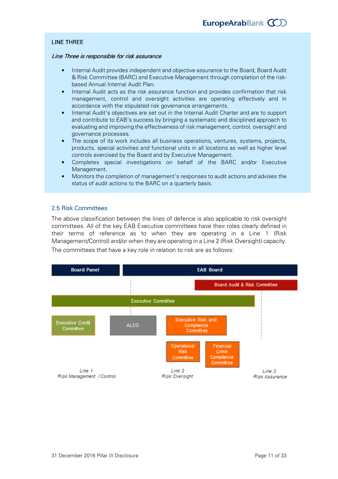# **LINE THREE**

#### Line Three is responsible for risk assurance

- Internal Audit provides independent and objective assurance to the Board, Board Audit & Risk Committee (BARC) and Executive Management through completion of the risk based Annual Internal Audit Plan.
- Internal Audit acts as the risk assurance function and provides confirmation that risk management, control and oversight activities are operating effectively and in accordance with the stipulated risk governance arrangements.
- Internal Audit's objectives are set out in the Internal Audit Charter and are to support and contribute to EAB's success by bringing a systematic and disciplined approach to evaluating and improving the effectiveness of risk management, control, oversight and governance processes.
- The scope of its work includes all business operations, ventures, systems, projects, products, special activities and functional units in all locations as well as higher level controls exercised by the Board and by Executive Management.
- Completes special investigations on behalf of the BARC and/or Executive Management.
- Monitors the completion of management's responses to audit actions and advises the status of audit actions to the BARC on a quarterly basis.

## 2.5 Risk Committees

The above classification between the lines of defence is also applicable to risk oversight committees. All of the key EAB Executive committees have their roles clearly defined in their terms of reference as to when they are operating in a Line 1 (Risk Management/Control) and/or when they are operating in a Line 2 (Risk Oversight) capacity. The committees that have a key role in relation to risk are as follows:

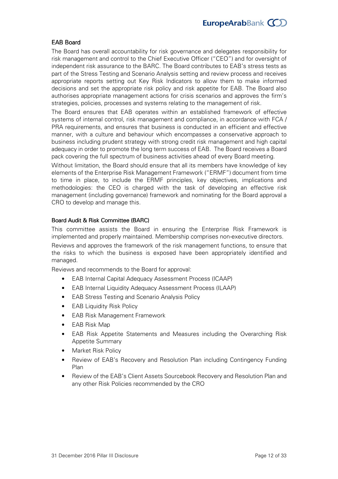# **FAB Board**

The Board has overall accountability for risk governance and delegates responsibility for risk management and control to the Chief Executive Officer ("CEO") and for oversight of independent risk assurance to the BARC. The Board contributes to EAB's stress tests as part of the Stress Testing and Scenario Analysis setting and review process and receives appropriate reports setting out Key Risk Indicators to allow them to make informed decisions and set the appropriate risk policy and risk appetite for EAB. The Board also authorises appropriate management actions for crisis scenarios and approves the firm's strategies, policies, processes and systems relating to the management of risk.

The Board ensures that EAB operates within an established framework of effective systems of internal control, risk management and compliance, in accordance with FCA / PRA requirements, and ensures that business is conducted in an efficient and effective manner, with a culture and behaviour which encompasses a conservative approach to business including prudent strategy with strong credit risk management and high capital adequacy in order to promote the long term success of EAB. The Board receives a Board pack covering the full spectrum of business activities ahead of every Board meeting.

Without limitation, the Board should ensure that all its members have knowledge of key elements of the Enterprise Risk Management Framework ("ERMF") document from time to time in place, to include the ERMF principles, key objectives, implications and methodologies: the CEO is charged with the task of developing an effective risk management (including governance) framework and nominating for the Board approval a CRO to develop and manage this.

# Board Audit & Risk Committee (BARC)

This committee assists the Board in ensuring the Enterprise Risk Framework is implemented and properly maintained. Membership comprises nonexecutive directors. Reviews and approves the framework of the risk management functions, to ensure that the risks to which the business is exposed have been appropriately identified and managed.

Reviews and recommends to the Board for approval:

- EAB Internal Capital Adequacy Assessment Process (ICAAP)
- EAB Internal Liquidity Adequacy Assessment Process (ILAAP)
- EAB Stress Testing and Scenario Analysis Policy
- EAB Liquidity Risk Policy
- EAB Risk Management Framework
- EAB Risk Map
- EAB Risk Appetite Statements and Measures including the Overarching Risk Appetite Summary
- Market Risk Policy
- Review of EAB's Recovery and Resolution Plan including Contingency Funding Plan
- Review of the EAB's Client Assets Sourcebook Recovery and Resolution Plan and any other Risk Policies recommended by the CRO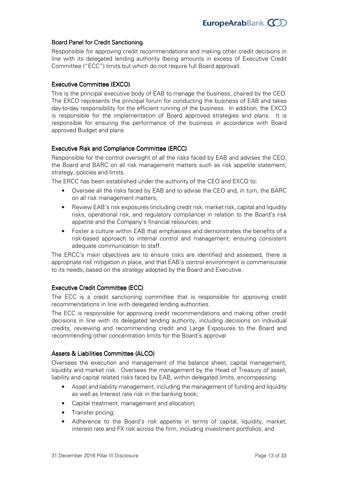# Board Panel for Credit Sanctioning

Responsible for approving credit recommendations and making other credit decisions in line with its delegated lending authority (being amounts in excess of Executive Credit Committee ("ECC") limits but which do not require full Board approval).

## Executive Committee (EXCO)

This is the principal executive body of EAB to manage the business, chaired by the CEO. The EXCO represents the principal forum for conducting the business of EAB and takes day-to-day responsibility for the efficient running of the business. In addition, the EXCO is responsible for the implementation of Board approved strategies and plans. It is responsible for ensuring the performance of the business in accordance with Board approved Budget and plans

# **Executive Risk and Compliance Committee (ERCC)**

Responsible for the control oversight of all the risks faced by EAB and advises the CEO, the Board and BARC on all risk management matters such as risk appetite statement, strategy, policies and limits.

The ERCC has been established under the authority of the CEO and EXCO to:

- Oversee all the risks faced by EAB and to advise the CEO and, in turn, the BARC on all risk management matters;
- Review EAB's risk exposures (including credit risk, market risk, capital and liquidity risks, operational risk, and regulatory compliance) in relation to the Board's risk appetite and the Company's financial resources; and
- Foster a culture within EAB that emphasises and demonstrates the benefits of a risk-based approach to internal control and management; ensuring consistent adequate communication to staff.

The ERCC's main objectives are to ensure risks are identified and assessed, there is appropriate risk mitigation in place, and that EAB's control environment is commensurate to its needs, based on the strategy adopted by the Board and Executive.

## Executive Credit Committee (ECC)

The ECC is a credit sanctioning committee that is responsible for approving credit recommendations in line with delegated lending authorities.

The ECC is responsible for approving credit recommendations and making other credit decisions in line with its delegated lending authority, including decisions on individual credits, reviewing and recommending credit and Large Exposures to the Board and recommending other concentration limits for the Board's approval

## Assets & Liabilities Committee (ALCO)

Oversees the execution and management of the balance sheet, capital management, liquidity and market risk. Oversees the management by the Head of Treasury of asset, liability and capital related risks faced by EAB, within delegated limits, encompassing:

- Asset and liability management, including the management of funding and liquidity as well as Interest rate risk in the banking book;
- Capital treatment, management and allocation;
- Transfer pricing;
- Adherence to the Board's risk appetite in terms of capital, liquidity, market, interest rate and FX risk across the firm, including investment portfolios; and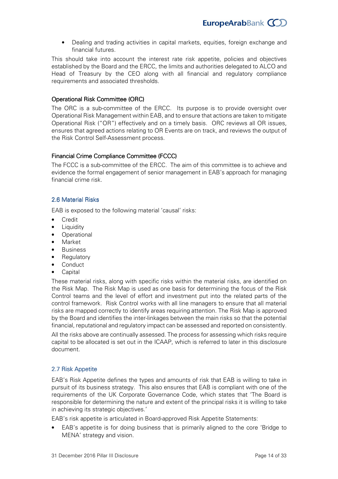• Dealing and trading activities in capital markets, equities, foreign exchange and financial futures.

This should take into account the interest rate risk appetite, policies and objectives established by the Board and the ERCC, the limits and authorities delegated to ALCO and Head of Treasury by the CEO along with all financial and regulatory compliance requirements and associated thresholds.

# **Operational Risk Committee (ORC)**

The ORC is a sub-committee of the ERCC. Its purpose is to provide oversight over Operational Risk Management within EAB, and to ensure that actions are taken to mitigate Operational Risk ("OR") effectively and on a timely basis. ORC reviews all OR issues, ensures that agreed actions relating to OR Events are on track, and reviews the output of the Risk Control Self-Assessment process.

# Financial Crime Compliance Committee (FCCC)

The FCCC is a sub-committee of the ERCC. The aim of this committee is to achieve and evidence the formal engagement of senior management in EAB's approach for managing financial crime risk.

# 2.6 Material Risks 2.6 Material Risks

EAB is exposed to the following material 'causal' risks:

- Credit
- Liquidity
- Operational
- Market
- Business
- Regulatory
- Conduct
- Capital

These material risks, along with specific risks within the material risks, are identified on the Risk Map. The Risk Map is used as one basis for determining the focus of the Risk Control teams and the level of effort and investment put into the related parts of the control framework. Risk Control works with all line managers to ensure that all material risks are mapped correctly to identify areas requiring attention. The Risk Map is approved by the Board and identifies the interlinkages between the main risks so that the potential financial, reputational and regulatory impact can be assessed and reported on consistently.

All the risks above are continually assessed. The process for assessing which risks require capital to be allocated is set out in the ICAAP, which is referred to later in this disclosure document.

# 2.7 Risk Appetite

EAB's Risk Appetite defines the types and amounts of risk that EAB is willing to take in pursuit of its business strategy. This also ensures that EAB is compliant with one of the requirements of the UK Corporate Governance Code, which states that 'The Board is responsible for determining the nature and extent of the principal risks it is willing to take in achieving its strategic objectives.'

EAB's risk appetite is articulated in Board-approved Risk Appetite Statements:

• EAB's appetite is for doing business that is primarily aligned to the core 'Bridge to MENA' strategy and vision.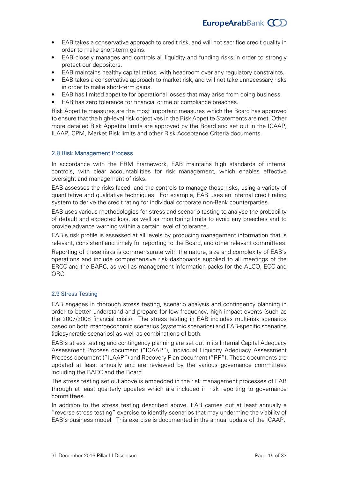- EAB takes a conservative approach to credit risk, and will not sacrifice credit quality in order to make short-term gains.
- EAB closely manages and controls all liquidity and funding risks in order to strongly protect our depositors.
- EAB maintains healthy capital ratios, with headroom over any regulatory constraints.
- EAB takes a conservative approach to market risk, and will not take unnecessary risks in order to make short-term gains.
- EAB has limited appetite for operational losses that may arise from doing business.
- EAB has zero tolerance for financial crime or compliance breaches.

Risk Appetite measures are the most important measures which the Board has approved to ensure that the high-level risk objectives in the Risk Appetite Statements are met. Other more detailed Risk Appetite limits are approved by the Board and set out in the ICAAP, ILAAP, CPM, Market Risk limits and other Risk Acceptance Criteria documents.

## 2.8 Risk Management Process

In accordance with the ERM Framework, EAB maintains high standards of internal controls, with clear accountabilities for risk management, which enables effective oversight and management of risks.

EAB assesses the risks faced, and the controls to manage those risks, using a variety of quantitative and qualitative techniques. For example, EAB uses an internal credit rating system to derive the credit rating for individual corporate non-Bank counterparties.

EAB uses various methodologies for stress and scenario testing to analyse the probability of default and expected loss, as well as monitoring limits to avoid any breaches and to provide advance warning within a certain level of tolerance.

EAB's risk profile is assessed at all levels by producing management information that is relevant, consistent and timely for reporting to the Board, and other relevant committees.

Reporting of these risks is commensurate with the nature, size and complexity of EAB's operations and include comprehensive risk dashboards supplied to all meetings of the ERCC and the BARC, as well as management information packs for the ALCO, ECC and ORC.

## 2.9 Stress Testing

EAB engages in thorough stress testing, scenario analysis and contingency planning in order to better understand and prepare for low-frequency, high impact events (such as the 2007/2008 financial crisis). The stress testing in EAB includes multi-risk scenarios based on both macroeconomic scenarios (systemic scenarios) and EAB-specific scenarios (idiosyncratic scenarios) as well as combinations of both.

EAB's stress testing and contingency planning are set out in its Internal Capital Adequacy Assessment Process document ("ICAAP"), Individual Liquidity Adequacy Assessment Process document ("ILAAP") and Recovery Plan document ("RP"). These documents are updated at least annually and are reviewed by the various governance committees including the BARC and the Board.

The stress testing set out above is embedded in the risk management processes of EAB through at least quarterly updates which are included in risk reporting to governance committees.

In addition to the stress testing described above, EAB carries out at least annually a "reverse stress testing" exercise to identify scenarios that may undermine the viability of EAB's business model. This exercise is documented in the annual update of the ICAAP.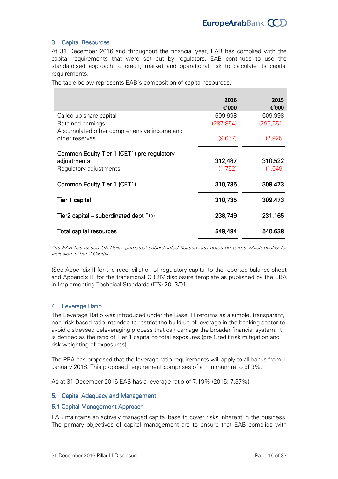## 3. Capital Resources

At 31 December 2016 and throughout the financial year, EAB has complied with the capital requirements that were set out by regulators. EAB continues to use the standardised approach to credit, market and operational risk to calculate its capital requirements.

The table below represents EAB's composition of capital resources.

|                                                                                     | 2016<br>€'000      | 2015<br>€'000      |
|-------------------------------------------------------------------------------------|--------------------|--------------------|
| Called up share capital                                                             | 609,998            | 609,998            |
| Retained earnings<br>Accumulated other comprehensive income and                     | (287, 854)         | (296, 551)         |
| other reserves                                                                      | (9,657)            | (2,925)            |
| Common Equity Tier 1 (CET1) pre regulatory<br>adjustments<br>Regulatory adjustments | 312,487<br>(1,752) | 310,522<br>(1,049) |
| Common Equity Tier 1 (CET1)                                                         | 310,735            | 309,473            |
| Tier 1 capital                                                                      | 310,735            | 309,473            |
| Tier2 capital – subordinated debt $*(a)$                                            | 238,749            | 231,165            |
| Total capital resources                                                             | 549,484            | 540,638            |

\*(a) EAB has issued US Dollar perpetual subordinated floating rate notes on terms which qualify for inclusion in Tier 2 Capital.

(See Appendix II for the reconciliation of regulatory capital to the reported balance sheet and Appendix III for the transitional CRDIV disclosure template as published by the EBA in Implementing Technical Standards (ITS) 2013/01).

## 4. Leverage Ratio

The Leverage Ratio was introduced under the Basel III reforms as a simple, transparent, non -risk based ratio intended to restrict the build-up of leverage in the banking sector to avoid distressed deleveraging process that can damage the broader financial system. It is defined as the ratio of Tier 1 capital to total exposures (pre Credit risk mitigation and risk weighting of exposures).

The PRA has proposed that the leverage ratio requirements will apply to all banks from 1 January 2018. This proposed requirement comprises of a minimum ratio of 3%.

As at 31 December 2016 EAB has a leverage ratio of 7.19% (2015: 7.37%)

## 5. Capital Adequacy and Management

#### 5.1 Capital Management Approach

EAB maintains an actively managed capital base to cover risks inherent in the business. The primary objectives of capital management are to ensure that EAB complies with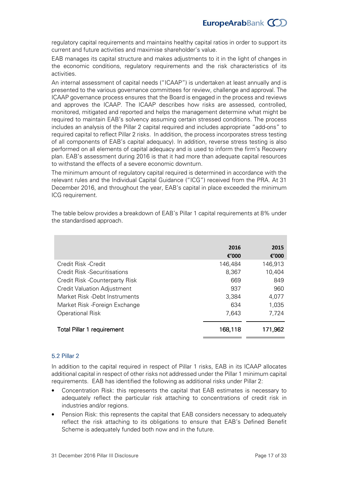regulatory capital requirements and maintains healthy capital ratios in order to support its current and future activities and maximise shareholder's value.

EAB manages its capital structure and makes adjustments to it in the light of changes in the economic conditions, regulatory requirements and the risk characteristics of its activities.

An internal assessment of capital needs ("ICAAP") is undertaken at least annually and is presented to the various governance committees for review, challenge and approval. The ICAAP governance process ensures that the Board is engaged in the process and reviews and approves the ICAAP. The ICAAP describes how risks are assessed, controlled, monitored, mitigated and reported and helps the management determine what might be required to maintain EAB's solvency assuming certain stressed conditions. The process includes an analysis of the Pillar 2 capital required and includes appropriate "add-ons" to required capital to reflect Pillar 2 risks. In addition, the process incorporates stress testing of all components of EAB's capital adequacy). In addition, reverse stress testing is also performed on all elements of capital adequacy and is used to inform the firm's Recovery plan. EAB's assessment during 2016 is that it had more than adequate capital resources to withstand the effects of a severe economic downturn.

The minimum amount of regulatory capital required is determined in accordance with the relevant rules and the Individual Capital Guidance ("ICG") received from the PRA. At 31 December 2016, and throughout the year, EAB's capital in place exceeded the minimum ICG requirement.

|                                    | 2016<br>€'000 | 2015<br>€'000 |
|------------------------------------|---------------|---------------|
| Credit Risk - Credit               | 146,484       | 146,913       |
| Credit Risk -Securitisations       | 8,367         | 10,404        |
| Credit Risk - Counterparty Risk    | 669           | 849           |
| <b>Credit Valuation Adjustment</b> | 937           | 960           |
| Market Risk -Debt Instruments      | 3,384         | 4,077         |
| Market Risk - Foreign Exchange     | 634           | 1,035         |
| Operational Risk                   | 7,643         | 7,724         |
| <b>Total Pillar 1 requirement</b>  | 168,118       | 171,962       |

The table below provides a breakdown of EAB's Pillar 1 capital requirements at 8% under the standardised approach.

## 5.2 Pillar 2

In addition to the capital required in respect of Pillar 1 risks, EAB in its ICAAP allocates additional capital in respect of other risks not addressed under the Pillar 1 minimum capital requirements. EAB has identified the following as additional risks under Pillar 2:

- Concentration Risk: this represents the capital that EAB estimates is necessary to adequately reflect the particular risk attaching to concentrations of credit risk in industries and/or regions.
- Pension Risk: this represents the capital that EAB considers necessary to adequately reflect the risk attaching to its obligations to ensure that EAB's Defined Benefit Scheme is adequately funded both now and in the future.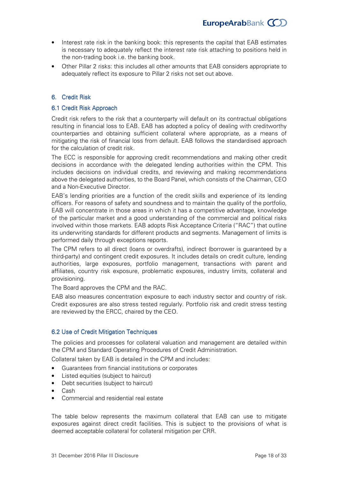- Interest rate risk in the banking book: this represents the capital that EAB estimates is necessary to adequately reflect the interest rate risk attaching to positions held in the non-trading book i.e. the banking book.
- Other Pillar 2 risks: this includes all other amounts that EAB considers appropriate to adequately reflect its exposure to Pillar 2 risks not set out above.

# 6. Credit Risk

#### 6.1 Credit Risk Approach

Credit risk refers to the risk that a counterparty will default on its contractual obligations resulting in financial loss to EAB. EAB has adopted a policy of dealing with creditworthy counterparties and obtaining sufficient collateral where appropriate, as a means of mitigating the risk of financial loss from default. EAB follows the standardised approach for the calculation of credit risk.

The ECC is responsible for approving credit recommendations and making other credit decisions in accordance with the delegated lending authorities within the CPM. This includes decisions on individual credits, and reviewing and making recommendations above the delegated authorities, to the Board Panel, which consists of the Chairman, CEO and a Non-Executive Director.

EAB's lending priorities are a function of the credit skills and experience of its lending officers. For reasons of safety and soundness and to maintain the quality of the portfolio, EAB will concentrate in those areas in which it has a competitive advantage, knowledge of the particular market and a good understanding of the commercial and political risks involved within those markets. EAB adopts Risk Acceptance Criteria ("RAC") that outline its underwriting standards for different products and segments. Management of limits is performed daily through exceptions reports.

The CPM refers to all direct (loans or overdrafts), indirect (borrower is guaranteed by a third-party) and contingent credit exposures. It includes details on credit culture, lending authorities, large exposures, portfolio management, transactions with parent and affiliates, country risk exposure, problematic exposures, industry limits, collateral and provisioning.

The Board approves the CPM and the RAC.

EAB also measures concentration exposure to each industry sector and country of risk. Credit exposures are also stress tested regularly. Portfolio risk and credit stress testing are reviewed by the ERCC, chaired by the CEO.

## 6.2 Use of Credit Mitigation Techniques

The policies and processes for collateral valuation and management are detailed within the CPM and Standard Operating Procedures of Credit Administration.

Collateral taken by EAB is detailed in the CPM and includes:

- Guarantees from financial institutions or corporates
- Listed equities (subject to haircut)
- Debt securities (subject to haircut)
- Cash
- Commercial and residential real estate

The table below represents the maximum collateral that EAB can use to mitigate exposures against direct credit facilities. This is subject to the provisions of what is deemed acceptable collateral for collateral mitigation per CRR.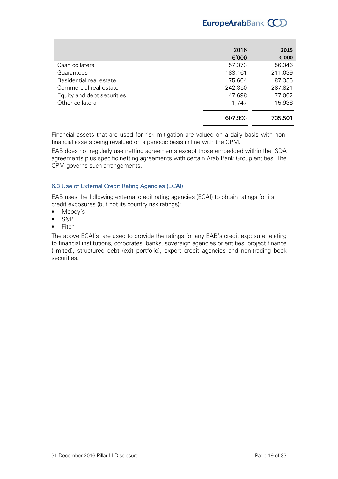# EuropeArabBank COD

|                            | 2016<br>€'000 | 2015<br>€'000 |
|----------------------------|---------------|---------------|
| Cash collateral            | 57,373        | 56,346        |
| Guarantees                 | 183,161       | 211,039       |
| Residential real estate    | 75,664        | 87,355        |
| Commercial real estate     | 242,350       | 287,821       |
| Equity and debt securities | 47,698        | 77,002        |
| Other collateral           | 1,747         | 15,938        |
|                            | 607,993       | 735,501       |

Financial assets that are used for risk mitigation are valued on a daily basis with non financial assets being revalued on a periodic basis in line with the CPM.

EAB does not regularly use netting agreements except those embedded within the ISDA agreements plus specific netting agreements with certain Arab Bank Group entities. The CPM governs such arrangements.

# 6.3 Use of External Credit Rating Agencies (ECAI)

EAB uses the following external credit rating agencies (ECAI) to obtain ratings for its credit exposures (but not its country risk ratings):

- Moody's
- S&P
- Fitch

The above ECAI's are used to provide the ratings for any EAB's credit exposure relating to financial institutions, corporates, banks, sovereign agencies or entities, project finance (limited), structured debt (exit portfolio), export credit agencies and nontrading book securities.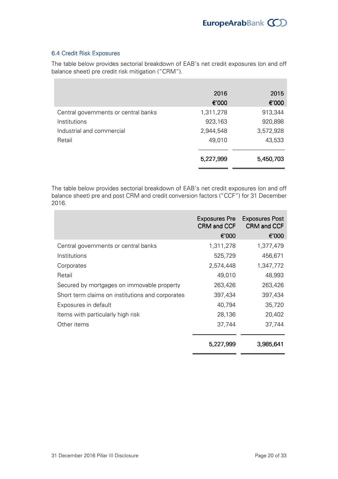# 6.4 Credit Risk Exposures

The table below provides sectorial breakdown of EAB's net credit exposures (on and off balance sheet) pre credit risk mitigation ("CRM").

|                                      | 2016<br>€'000 | 2015<br>€'000 |
|--------------------------------------|---------------|---------------|
| Central governments or central banks | 1,311,278     | 913,344       |
| Institutions                         | 923,163       | 920,898       |
| Industrial and commercial            | 2,944,548     | 3,572,928     |
| Retail                               | 49,010        | 43,533        |
|                                      | 5,227,999     | 5,450,703     |

The table below provides sectorial breakdown of EAB's net credit exposures (on and off balance sheet) pre and post CRM and credit conversion factors ("CCF") for 31 December 2016.

|                                                  | <b>Exposures Pre</b><br><b>CRM and CCF</b> | <b>Exposures Post</b><br><b>CRM and CCF</b> |
|--------------------------------------------------|--------------------------------------------|---------------------------------------------|
|                                                  | €'000                                      | €'000                                       |
| Central governments or central banks             | 1,311,278                                  | 1,377,479                                   |
| Institutions                                     | 525,729                                    | 456,671                                     |
| Corporates                                       | 2,574,448                                  | 1,347,772                                   |
| Retail                                           | 49,010                                     | 48,993                                      |
| Secured by mortgages on immovable property       | 263,426                                    | 263,426                                     |
| Short term claims on institutions and corporates | 397,434                                    | 397,434                                     |
| Exposures in default                             | 40,794                                     | 35,720                                      |
| Items with particularly high risk                | 28,136                                     | 20,402                                      |
| Other items                                      | 37,744                                     | 37,744                                      |
|                                                  | 5,227,999                                  | 3,985,641                                   |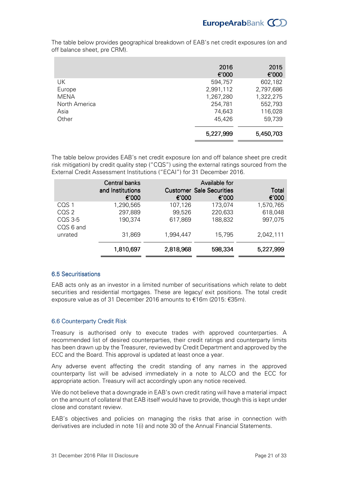|               | 2016<br>€'000 | 2015<br>€'000 |
|---------------|---------------|---------------|
| UK            | 594,757       | 602,182       |
| Europe        | 2,991,112     | 2,797,686     |
| <b>MENA</b>   | 1,267,280     | 1,322,275     |
| North America | 254,781       | 552,793       |
| Asia          | 74,643        | 116,028       |
| Other         | 45,426        | 59,739        |
|               | 5,227,999     | 5,450,703     |

The table below provides geographical breakdown of EAB's net credit exposures (on and off balance sheet, pre CRM).

The table below provides EAB's net credit exposure (on and off balance sheet pre credit risk mitigation) by credit quality step ("CQS") using the external ratings sourced from the External Credit Assessment Institutions ("ECAI") for 31 December 2016.

|                      | Central banks<br>and Institutions<br>€'000 | €'000     | Available for<br><b>Customer Sale Securities</b><br>€'000 | <b>Total</b><br>€'000 |
|----------------------|--------------------------------------------|-----------|-----------------------------------------------------------|-----------------------|
| CQS <sub>1</sub>     | 1,290,565                                  | 107,126   | 173,074                                                   | 1,570,765             |
| CQS 2                | 297,889                                    | 99,526    | 220,633                                                   | 618,048               |
| CQS 3-5<br>CQS 6 and | 190,374                                    | 617,869   | 188,832                                                   | 997,075               |
| unrated              | 31,869                                     | 1,994,447 | 15,795                                                    | 2,042,111             |
|                      | 1,810,697                                  | 2,818,968 | 598,334                                                   | 5,227,999             |

# 6.5 Securitisations

EAB acts only as an investor in a limited number of securitisations which relate to debt securities and residential mortgages. These are legacy/ exit positions. The total credit exposure value as of 31 December 2016 amounts to €16m (2015: €35m).

## 6.6 Counterparty Credit Risk

Treasury is authorised only to execute trades with approved counterparties. A recommended list of desired counterparties, their credit ratings and counterparty limits has been drawn up by the Treasurer, reviewed by Credit Department and approved by the ECC and the Board. This approval is updated at least once a year.

Any adverse event affecting the credit standing of any names in the approved counterparty list will be advised immediately in a note to ALCO and the ECC for appropriate action. Treasury will act accordingly upon any notice received.

We do not believe that a downgrade in EAB's own credit rating will have a material impact on the amount of collateral that EAB itself would have to provide, though this is kept under close and constant review.

EAB's objectives and policies on managing the risks that arise in connection with derivatives are included in note 1(i) and note 30 of the Annual Financial Statements.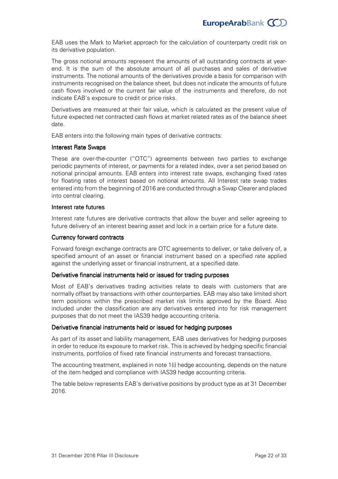EAB uses the Mark to Market approach for the calculation of counterparty credit risk on its derivative population.

The gross notional amounts represent the amounts of all outstanding contracts at year end. It is the sum of the absolute amount of all purchases and sales of derivative instruments. The notional amounts of the derivatives provide a basis for comparison with instruments recognised on the balance sheet, but does not indicate the amounts of future cash flows involved or the current fair value of the instruments and therefore, do not indicate EAB's exposure to credit or price risks.

Derivatives are measured at their fair value, which is calculated as the present value of future expected net contracted cash flows at market related rates as of the balance sheet date.

EAB enters into the following main types of derivative contracts:

## **Interest Rate Swaps**

These are over-the-counter ("OTC") agreements between two parties to exchange periodic payments of interest, or payments for a related index, over a set period based on notional principal amounts. EAB enters into interest rate swaps, exchanging fixed rates for floating rates of interest based on notional amounts. All Interest rate swap trades entered into from the beginning of 2016 are conducted through a Swap Clearer and placed into central clearing.

#### Interest rate futures

Interest rate futures are derivative contracts that allow the buyer and seller agreeing to future delivery of an interest bearing asset and lock in a certain price for a future date.

#### Currency forward contracts

Forward foreign exchange contracts are OTC agreements to deliver, or take delivery of, a specified amount of an asset or financial instrument based on a specified rate applied against the underlying asset or financial instrument, at a specified date.

## Derivative financial instruments held or issued for trading purposes

Most of EAB's derivatives trading activities relate to deals with customers that are normally offset by transactions with other counterparties. EAB may also take limited short term positions within the prescribed market risk limits approved by the Board. Also included under the classification are any derivatives entered into for risk management purposes that do not meet the IAS39 hedge accounting criteria.

## Derivative financial instruments held or issued for hedging purposes

As part of its asset and liability management, EAB uses derivatives for hedging purposes in order to reduce its exposure to market risk. This is achieved by hedging specific financial instruments, portfolios of fixed rate financial instruments and forecast transactions.

The accounting treatment, explained in note 1(i) hedge accounting, depends on the nature of the item hedged and compliance with IAS39 hedge accounting criteria.

The table below represents EAB's derivative positions by product type as at 31 December 2016.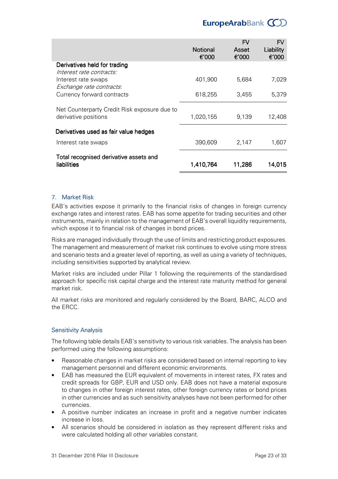# EuropeArabBank (CO)

|                                                                      |                          | <b>FV</b>      | <b>FV</b>          |
|----------------------------------------------------------------------|--------------------------|----------------|--------------------|
|                                                                      | <b>Notional</b><br>€'000 | Asset<br>€'000 | Liability<br>€'000 |
| Derivatives held for trading<br>Interest rate contracts:             |                          |                |                    |
| Interest rate swaps<br>Exchange rate contracts.                      | 401,900                  | 5,684          | 7,029              |
| Currency forward contracts                                           | 618,255                  | 3,455          | 5,379              |
| Net Counterparty Credit Risk exposure due to<br>derivative positions | 1,020,155                | 9,139          | 12,408             |
| Derivatives used as fair value hedges                                |                          |                |                    |
| Interest rate swaps                                                  | 390,609                  | 2,147          | 1,607              |
| Total recognised derivative assets and<br>liabilities                | 1,410,764                | 11,286         | 14,015             |

# 7. Market Risk

EAB's activities expose it primarily to the financial risks of changes in foreign currency exchange rates and interest rates. EAB has some appetite for trading securities and other instruments, mainly in relation to the management of EAB's overall liquidity requirements, which expose it to financial risk of changes in bond prices.

Risks are managed individually through the use of limits and restricting product exposures. The management and measurement of market risk continues to evolve using more stress and scenario tests and a greater level of reporting, as well as using a variety of techniques, including sensitivities supported by analytical review.

Market risks are included under Pillar 1 following the requirements of the standardised approach for specific risk capital charge and the interest rate maturity method for general market risk.

All market risks are monitored and regularly considered by the Board, BARC, ALCO and the ERCC.

## Sensitivity Analysis

The following table details EAB's sensitivity to various risk variables. The analysis has been performed using the following assumptions:

- Reasonable changes in market risks are considered based on internal reporting to key management personnel and different economic environments.
- EAB has measured the EUR equivalent of movements in interest rates, FX rates and credit spreads for GBP, EUR and USD only. EAB does not have a material exposure to changes in other foreign interest rates, other foreign currency rates or bond prices in other currencies and as such sensitivity analyses have not been performed for other currencies.
- A positive number indicates an increase in profit and a negative number indicates increase in loss.
- All scenarios should be considered in isolation as they represent different risks and were calculated holding all other variables constant.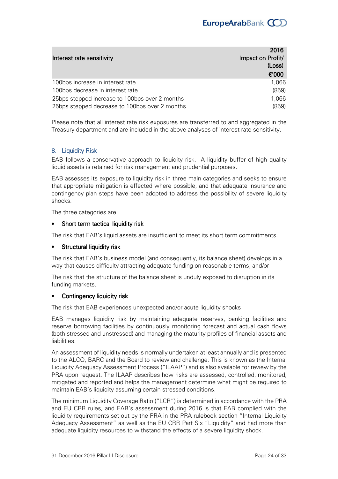|                                                | 2016              |
|------------------------------------------------|-------------------|
| Interest rate sensitivity                      | Impact on Profit/ |
|                                                | (Loss)            |
|                                                | €'000             |
| 100bps increase in interest rate               | 1,066             |
| 100bps decrease in interest rate               | (859)             |
| 25bps stepped increase to 100bps over 2 months | 1,066             |
| 25bps stepped decrease to 100bps over 2 months | (859)             |

Please note that all interest rate risk exposures are transferred to and aggregated in the Treasury department and are included in the above analyses of interest rate sensitivity.

# 8. Liquidity Risk

EAB follows a conservative approach to liquidity risk. A liquidity buffer of high quality liquid assets is retained for risk management and prudential purposes.

EAB assesses its exposure to liquidity risk in three main categories and seeks to ensure that appropriate mitigation is effected where possible, and that adequate insurance and contingency plan steps have been adopted to address the possibility of severe liquidity shocks.

The three categories are:

## Short term tactical liquidity risk

The risk that EAB's liquid assets are insufficient to meet its short term commitments.

#### Structural liquidity risk

The risk that EAB's business model (and consequently, its balance sheet) develops in a way that causes difficulty attracting adequate funding on reasonable terms; and/or

The risk that the structure of the balance sheet is unduly exposed to disruption in its funding markets.

#### Contingency liquidity risk

The risk that EAB experiences unexpected and/or acute liquidity shocks

EAB manages liquidity risk by maintaining adequate reserves, banking facilities and reserve borrowing facilities by continuously monitoring forecast and actual cash flows (both stressed and unstressed) and managing the maturity profiles of financial assets and liabilities.

An assessment of liquidity needs is normally undertaken at least annually and is presented to the ALCO, BARC and the Board to review and challenge. This is known as the Internal Liquidity Adequacy Assessment Process ("ILAAP") and is also available for review by the PRA upon request. The ILAAP describes how risks are assessed, controlled, monitored, mitigated and reported and helps the management determine what might be required to maintain EAB's liquidity assuming certain stressed conditions.

The minimum Liquidity Coverage Ratio ("LCR") is determined in accordance with the PRA and EU CRR rules, and EAB's assessment during 2016 is that EAB complied with the liquidity requirements set out by the PRA in the PRA rulebook section "Internal Liquidity Adequacy Assessment" as well as the EU CRR Part Six "Liquidity" and had more than adequate liquidity resources to withstand the effects of a severe liquidity shock.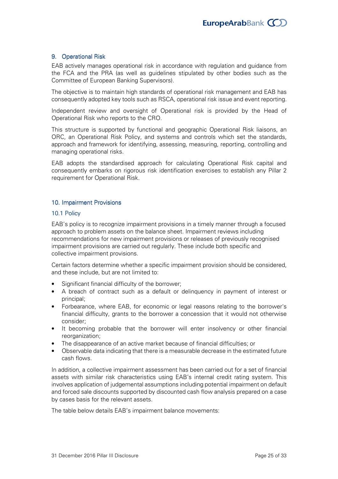## 9. Operational Risk

EAB actively manages operational risk in accordance with regulation and guidance from the FCA and the PRA (as well as guidelines stipulated by other bodies such as the Committee of European Banking Supervisors).

The objective is to maintain high standards of operational risk management and EAB has consequently adopted key tools such as RSCA, operational risk issue and event reporting.

Independent review and oversight of Operational risk is provided by the Head of Operational Risk who reports to the CRO.

This structure is supported by functional and geographic Operational Risk liaisons, an ORC, an Operational Risk Policy, and systems and controls which set the standards, approach and framework for identifying, assessing, measuring, reporting, controlling and managing operational risks.

EAB adopts the standardised approach for calculating Operational Risk capital and consequently embarks on rigorous risk identification exercises to establish any Pillar 2 requirement for Operational Risk.

## 10. Impairment Provisions

#### 10.1 Policy

EAB's policy is to recognize impairment provisions in a timely manner through a focused approach to problem assets on the balance sheet. Impairment reviews including recommendations for new impairment provisions or releases of previously recognised impairment provisions are carried out regularly. These include both specific and collective impairment provisions.

Certain factors determine whether a specific impairment provision should be considered, and these include, but are not limited to:

- Significant financial difficulty of the borrower;
- A breach of contract such as a default or delinquency in payment of interest or principal;
- Forbearance, where EAB, for economic or legal reasons relating to the borrower's financial difficulty, grants to the borrower a concession that it would not otherwise consider;
- It becoming probable that the borrower will enter insolvency or other financial reorganization;
- The disappearance of an active market because of financial difficulties; or
- Observable data indicating that there is a measurable decrease in the estimated future cash flows.

In addition, a collective impairment assessment has been carried out for a set of financial assets with similar risk characteristics using EAB's internal credit rating system. This involves application of judgemental assumptions including potential impairment on default and forced sale discounts supported by discounted cash flow analysis prepared on a case by cases basis for the relevant assets.

The table below details EAB's impairment balance movements: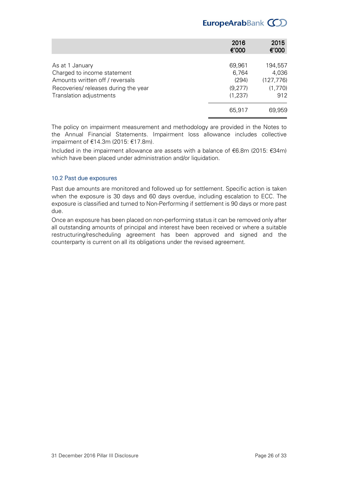# EuropeArabBank COD

|                                      | 2016<br>€'000 | 2015<br>€'000 |
|--------------------------------------|---------------|---------------|
|                                      |               |               |
| As at 1 January                      | 69,961        | 194,557       |
| Charged to income statement          | 6,764         | 4,036         |
| Amounts written off / reversals      | (294)         | (127, 776)    |
| Recoveries/ releases during the year | (9,277)       | (1,770)       |
| Translation adjustments              | (1, 237)      | 912           |
|                                      | 65,917        | 69,959        |

The policy on impairment measurement and methodology are provided in the Notes to the Annual Financial Statements. Impairment loss allowance includes collective impairment of €14.3m (2015: €17.8m).

Included in the impairment allowance are assets with a balance of €6.8m (2015: €34m) which have been placed under administration and/or liquidation.

# 10.2 Past due exposures

Past due amounts are monitored and followed up for settlement. Specific action is taken when the exposure is 30 days and 60 days overdue, including escalation to ECC. The exposure is classified and turned to Non-Performing if settlement is 90 days or more past due.

Once an exposure has been placed on non-performing status it can be removed only after all outstanding amounts of principal and interest have been received or where a suitable restructuring/rescheduling agreement has been approved and signed and the counterparty is current on all its obligations under the revised agreement.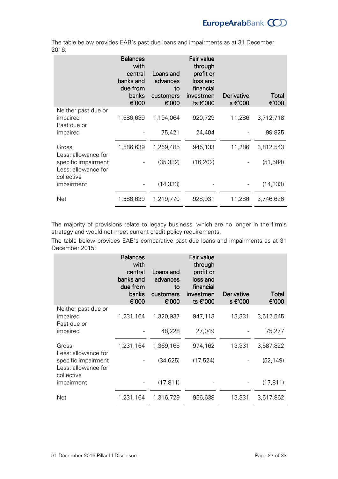The table below provides EAB's past due loans and impairments as at 31 December 2016:

|                                                                        | <b>Balances</b><br>with<br>central<br>banks and<br>due from<br>banks<br>€'000 | Loans and<br>advances<br>to<br>customers<br>€'000 | Fair value<br>through<br>profit or<br>loss and<br>financial<br>investmen<br>ts €'000 | Derivative<br>s €'000 | Total<br>€'000 |
|------------------------------------------------------------------------|-------------------------------------------------------------------------------|---------------------------------------------------|--------------------------------------------------------------------------------------|-----------------------|----------------|
| Neither past due or<br>impaired<br>Past due or                         | 1,586,639                                                                     | 1,194,064                                         | 920,729                                                                              | 11,286                | 3,712,718      |
| impaired                                                               |                                                                               | 75,421                                            | 24,404                                                                               |                       | 99,825         |
| Gross<br>Less: allowance for                                           | 1,586,639                                                                     | 1,269,485                                         | 945,133                                                                              | 11,286                | 3,812,543      |
| specific impairment<br>Less: allowance for<br>collective<br>impairment |                                                                               | (35, 382)                                         | (16, 202)                                                                            |                       | (51, 584)      |
|                                                                        |                                                                               | (14, 333)                                         |                                                                                      |                       | (14, 333)      |
| Net                                                                    | 1,586,639                                                                     | 1,219,770                                         | 928,931                                                                              | 11,286                | 3,746,626      |

The majority of provisions relate to legacy business, which are no longer in the firm's strategy and would not meet current credit policy requirements.

The table below provides EAB's comparative past due loans and impairments as at 31 December 2015:

|                                                          | <b>Balances</b><br>with<br>central<br>banks and<br>due from<br>banks<br>€'000 | Loans and<br>advances<br>to<br>customers<br>€'000 | Fair value<br>through<br>profit or<br>loss and<br>financial<br>investmen<br>ts €'000 | Derivative<br>s €'000 | <b>Total</b><br>€'000 |
|----------------------------------------------------------|-------------------------------------------------------------------------------|---------------------------------------------------|--------------------------------------------------------------------------------------|-----------------------|-----------------------|
| Neither past due or<br>impaired<br>Past due or           | 1,231,164                                                                     | 1,320,937                                         | 947,113                                                                              | 13,331                | 3,512,545             |
| impaired                                                 |                                                                               | 48,228                                            | 27,049                                                                               |                       | 75,277                |
| Gross<br>Less: allowance for                             | 1,231,164                                                                     | 1,369,165                                         | 974,162                                                                              | 13,331                | 3,587,822             |
| specific impairment<br>Less: allowance for<br>collective |                                                                               | (34, 625)                                         | (17, 524)                                                                            |                       | (52, 149)             |
| impairment                                               |                                                                               | (17, 811)                                         |                                                                                      |                       | (17, 811)             |
| Net                                                      | 1,231,164                                                                     | 1,316,729                                         | 956,638                                                                              | 13,331                | 3,517,862             |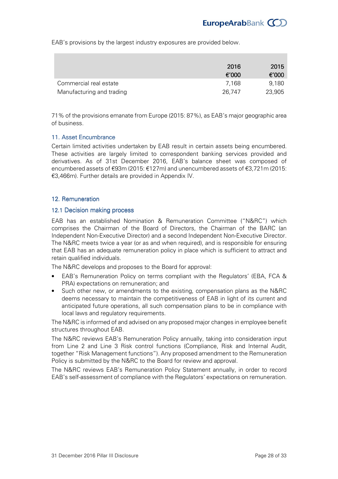EAB's provisions by the largest industry exposures are provided below.

|                           | 2016   | 2015   |
|---------------------------|--------|--------|
|                           | €'000  | €'000  |
| Commercial real estate    | 7.168  | 9,180  |
| Manufacturing and trading | 26,747 | 23,905 |

71% of the provisions emanate from Europe (2015: 87%), as EAB's major geographic area of business.

#### 11. Asset Encumbrance

Certain limited activities undertaken by EAB result in certain assets being encumbered. These activities are largely limited to correspondent banking services provided and derivatives. As of 31st December 2016, EAB's balance sheet was composed of encumbered assets of €93m (2015: €127m) and unencumbered assets of €3,721m (2015: €3,466m). Further details are provided in Appendix IV.

#### 12. Remuneration

#### 12.1 Decision making process

EAB has an established Nomination & Remuneration Committee ("N&RC") which comprises the Chairman of the Board of Directors, the Chairman of the BARC (an Independent Non-Executive Director) and a second Independent Non-Executive Director. The N&RC meets twice a year (or as and when required), and is responsible for ensuring that EAB has an adequate remuneration policy in place which is sufficient to attract and retain qualified individuals.

The N&RC develops and proposes to the Board for approval:

- EAB's Remuneration Policy on terms compliant with the Regulators' (EBA, FCA & PRA) expectations on remuneration; and
- Such other new, or amendments to the existing, compensation plans as the N&RC deems necessary to maintain the competitiveness of EAB in light of its current and anticipated future operations, all such compensation plans to be in compliance with local laws and regulatory requirements.

The N&RC is informed of and advised on any proposed major changes in employee benefit structures throughout EAB.

The N&RC reviews EAB's Remuneration Policy annually, taking into consideration input from Line 2 and Line 3 Risk control functions (Compliance, Risk and Internal Audit, together "Risk Management functions"). Any proposed amendment to the Remuneration Policy is submitted by the N&RC to the Board for review and approval.

The N&RC reviews EAB's Remuneration Policy Statement annually, in order to record EAB's selfassessment of compliance with the Regulators' expectations on remuneration.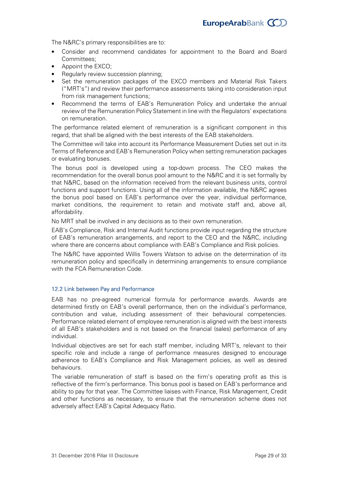The N&RC's primary responsibilities are to:

- Consider and recommend candidates for appointment to the Board and Board Committees;
- Appoint the EXCO;
- Regularly review succession planning:
- Set the remuneration packages of the EXCO members and Material Risk Takers ("MRT's") and review their performance assessments taking into consideration input from risk management functions;
- Recommend the terms of EAB's Remuneration Policy and undertake the annual review of the Remuneration Policy Statement in line with the Regulators' expectations on remuneration.

The performance related element of remuneration is a significant component in this regard, that shall be aligned with the best interests of the EAB stakeholders.

The Committee will take into account its Performance Measurement Duties set out in its Terms of Reference and EAB's Remuneration Policy when setting remuneration packages or evaluating bonuses.

The bonus pool is developed using a top-down process. The CEO makes the recommendation for the overall bonus pool amount to the N&RC and it is set formally by that N&RC, based on the information received from the relevant business units, control functions and support functions. Using all of the information available, the N&RC agrees the bonus pool based on EAB's performance over the year, individual performance, market conditions, the requirement to retain and motivate staff and, above all, affordability.

No MRT shall be involved in any decisions as to their own remuneration.

EAB's Compliance, Risk and Internal Audit functions provide input regarding the structure of EAB's remuneration arrangements, and report to the CEO and the N&RC, including where there are concerns about compliance with EAB's Compliance and Risk policies.

The N&RC have appointed Willis Towers Watson to advise on the determination of its remuneration policy and specifically in determining arrangements to ensure compliance with the FCA Remuneration Code.

## 12.2 Link between Pay and Performance

EAB has no pre-agreed numerical formula for performance awards. Awards are determined firstly on EAB's overall performance, then on the individual's performance, contribution and value, including assessment of their behavioural competencies. Performance related element of employee remuneration is aligned with the best interests of all EAB's stakeholders and is not based on the financial (sales) performance of any individual.

Individual objectives are set for each staff member, including MRT's, relevant to their specific role and include a range of performance measures designed to encourage adherence to EAB's Compliance and Risk Management policies, as well as desired behaviours.

The variable remuneration of staff is based on the firm's operating profit as this is reflective of the firm's performance. This bonus pool is based on EAB's performance and ability to pay for that year. The Committee liaises with Finance, Risk Management, Credit and other functions as necessary, to ensure that the remuneration scheme does not adversely affect EAB's Capital Adequacy Ratio.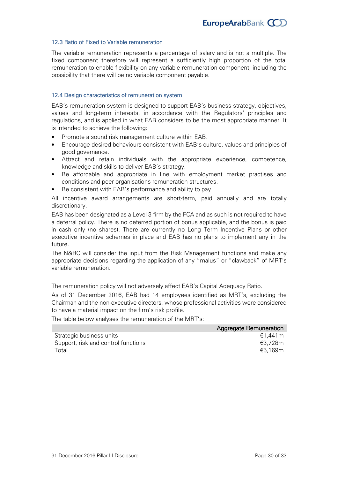#### 12.3 Ratio of Fixed to Variable remuneration

The variable remuneration represents a percentage of salary and is not a multiple. The fixed component therefore will represent a sufficiently high proportion of the total remuneration to enable flexibility on any variable remuneration component, including the possibility that there will be no variable component payable.

#### 12.4 Design characteristics of remuneration system

EAB's remuneration system is designed to support EAB's business strategy, objectives, values and long-term interests, in accordance with the Regulators' principles and regulations, and is applied in what EAB considers to be the most appropriate manner. It is intended to achieve the following:

- Promote a sound risk management culture within EAB.
- Encourage desired behaviours consistent with EAB's culture, values and principles of good governance.
- Attract and retain individuals with the appropriate experience, competence, knowledge and skills to deliver EAB's strategy.
- Be affordable and appropriate in line with employment market practises and conditions and peer organisations remuneration structures.
- Be consistent with EAB's performance and ability to pay

All incentive award arrangements are short-term, paid annually and are totally discretionary.

EAB has been designated as a Level 3 firm by the FCA and as such is not required to have a deferral policy. There is no deferred portion of bonus applicable, and the bonus is paid in cash only (no shares). There are currently no Long Term Incentive Plans or other executive incentive schemes in place and EAB has no plans to implement any in the future.

The N&RC will consider the input from the Risk Management functions and make any appropriate decisions regarding the application of any "malus" or "clawback" of MRT's variable remuneration.

The remuneration policy will not adversely affect EAB's Capital Adequacy Ratio.

As of 31 December 2016, EAB had 14 employees identified as MRT's, excluding the Chairman and the non-executive directors, whose professional activities were considered to have a material impact on the firm's risk profile.

The table below analyses the remuneration of the MRT's:

|                                     | Aggregate Remuneration |
|-------------------------------------|------------------------|
| Strategic business units            | €1.441m                |
| Support, risk and control functions | €3.728m                |
| Total                               | €5.169m                |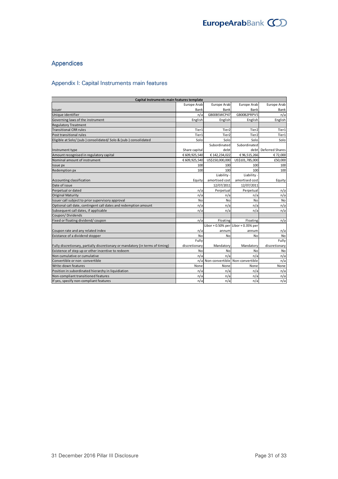# Appendices

# Appendix I: Capital Instruments main features

| Capital Instruments main features template                                     |               |                                      |                                     |                 |  |  |  |
|--------------------------------------------------------------------------------|---------------|--------------------------------------|-------------------------------------|-----------------|--|--|--|
|                                                                                | Europe Arab   | Europe Arab                          | Europe Arab                         | Europe Arab     |  |  |  |
| Issuer                                                                         | Bank          | Bank                                 | Bank                                | Bank            |  |  |  |
| Unique identifier                                                              | n/a           | GB00B5WCP47                          | GB00B2PRPV5                         | n/a             |  |  |  |
| Governing laws of the instrument                                               | English       | English                              | English                             | English         |  |  |  |
| <b>Regulatory Treatment</b>                                                    |               |                                      |                                     |                 |  |  |  |
| <b>Transitional CRR rules</b>                                                  | Tier1         | Tier <sub>2</sub>                    | Tier <sub>2</sub>                   | Tier1           |  |  |  |
| Post transitional rules                                                        | Tier1         | Tier <sub>2</sub>                    | Tier2                               | Tier1           |  |  |  |
| Eligible at Solo/ (sub-) consolidated/ Solo & (sub-) consolidated              | Solo          | Solo                                 | Solo                                | Solo            |  |  |  |
|                                                                                |               | Subordinated                         | Subordinated                        |                 |  |  |  |
| Instrument type                                                                | Share capital | debt                                 | debt                                | Deferred Shares |  |  |  |
| Amount recognised in regulatory capital                                        | € 609,925,540 | €142,234,022                         | €96,515,266                         | €72,000         |  |  |  |
| Nominal amount of instrument                                                   | € 609,925,540 | US\$150,000,000                      | US\$101,785,000                     | £50,000         |  |  |  |
| Issue px                                                                       | 100           | 100                                  | 100                                 | 100             |  |  |  |
| Redemption px                                                                  | 100           | 100                                  | 100                                 | 100             |  |  |  |
|                                                                                |               | Liability -                          | Liability -                         |                 |  |  |  |
| Accounting classification                                                      | Equity        | amortised cost                       | amortised cost                      | Equity          |  |  |  |
| Date of issue                                                                  |               | 12/07/2011                           | 12/07/2011                          |                 |  |  |  |
| Perpetual or dated                                                             | n/a           | Perpetual                            | Perpetual                           | n/a             |  |  |  |
| <b>Original Maturity</b>                                                       | n/a           | n/a                                  | n/a                                 | n/a             |  |  |  |
| Issuer call subject to prior supervisory approval                              | No            | No                                   | No                                  | No              |  |  |  |
| Optional call date, contingent call dates and redemption amount                | n/a           | n/a                                  | n/a                                 | n/a             |  |  |  |
| Subsequent call dates, if applicable                                           | n/a           | n/a                                  | n/a                                 | n/a             |  |  |  |
| Coupon/Dividends                                                               |               |                                      |                                     |                 |  |  |  |
| Fixed or floating dividend/coupon                                              | n/a           | Floating                             | Floating                            | n/a             |  |  |  |
|                                                                                |               |                                      | Libor + 0.50% per Libor + 0.35% per |                 |  |  |  |
| Coupon rate and any related index                                              | n/a           | annum                                | annum                               | n/a             |  |  |  |
| Existance of a dividend stopper                                                | No            | No                                   | No                                  | No              |  |  |  |
|                                                                                | Fully         |                                      |                                     | Fully           |  |  |  |
| Fully discretionary, partially discretionary or mandatory (in terms of timing) | discretionary | Mandatory                            | Mandatory                           | discretionary   |  |  |  |
| Existence of step up or other incentive to redeem                              | No            | No                                   | No                                  | No              |  |  |  |
| Non cumulative or cumulative                                                   | n/a           | n/a                                  | n/a                                 | n/a             |  |  |  |
| Convertible or non -convertible                                                |               | n/al Non-convertible Non-convertible |                                     | n/a             |  |  |  |
| Write-down features                                                            | None          | None                                 | None                                | None            |  |  |  |
| Position in subordinated hierarchy in liquidiation                             | n/a           | n/a                                  | n/a                                 | n/a             |  |  |  |
| Non-compliant transitioned features                                            | n/a           | n/a                                  | n/a                                 | n/a             |  |  |  |
| If yes, specify non-compliant features                                         | n/a           | n/a                                  | n/a                                 | n/a             |  |  |  |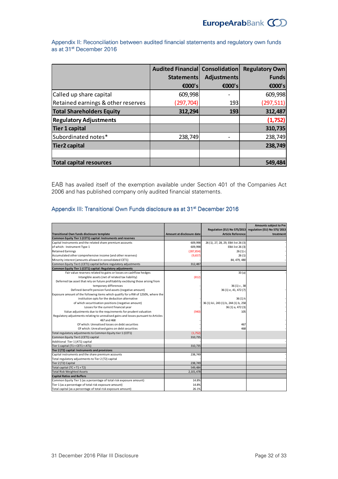|                                    | Audited Financial Consolidation |                    | <b>Regulatory Own</b> |
|------------------------------------|---------------------------------|--------------------|-----------------------|
|                                    | <b>Statements</b>               | <b>Adjustments</b> | <b>Funds</b>          |
|                                    | €000's                          | €000's             | €000's                |
| Called up share capital            | 609,998                         |                    | 609,998               |
| Retained earnings & other reserves | (297, 704)                      | 193                | (297, 511)            |
| <b>Total Shareholders Equity</b>   | 312,294                         | 193                | 312,487               |
| <b>Regulatory Adjustments</b>      |                                 |                    | (1,752)               |
| <b>Tier 1 capital</b>              |                                 |                    | 310,735               |
| Subordinated notes*                | 238,749                         |                    | 238,749               |
| <b>Tier2 capital</b>               |                                 |                    | 238,749               |
|                                    |                                 |                    |                       |
| <b>Total capital resources</b>     |                                 |                    | 549,484               |

Appendix II: Reconciliation between audited financial statements and regulatory own funds as at 31<sup>st</sup> December 2016

EAB has availed itself of the exemption available under Section 401 of the Companies Act 2006 and has published company only audited financial statements.

# Appendix III: Transitional Own Funds disclosure as at 31<sup>st</sup> December 2016

|                                                                                     |                                                                                                                                                                                                                                              | <b>Amounts subject to Pre</b>                                                                                                                                                                                                                        |
|-------------------------------------------------------------------------------------|----------------------------------------------------------------------------------------------------------------------------------------------------------------------------------------------------------------------------------------------|------------------------------------------------------------------------------------------------------------------------------------------------------------------------------------------------------------------------------------------------------|
|                                                                                     |                                                                                                                                                                                                                                              | regulation (EU) No 575/2013                                                                                                                                                                                                                          |
|                                                                                     |                                                                                                                                                                                                                                              | treatment                                                                                                                                                                                                                                            |
|                                                                                     |                                                                                                                                                                                                                                              |                                                                                                                                                                                                                                                      |
|                                                                                     |                                                                                                                                                                                                                                              |                                                                                                                                                                                                                                                      |
|                                                                                     |                                                                                                                                                                                                                                              |                                                                                                                                                                                                                                                      |
|                                                                                     |                                                                                                                                                                                                                                              |                                                                                                                                                                                                                                                      |
|                                                                                     |                                                                                                                                                                                                                                              |                                                                                                                                                                                                                                                      |
|                                                                                     |                                                                                                                                                                                                                                              |                                                                                                                                                                                                                                                      |
|                                                                                     |                                                                                                                                                                                                                                              |                                                                                                                                                                                                                                                      |
|                                                                                     |                                                                                                                                                                                                                                              |                                                                                                                                                                                                                                                      |
|                                                                                     |                                                                                                                                                                                                                                              |                                                                                                                                                                                                                                                      |
| (812)                                                                               |                                                                                                                                                                                                                                              |                                                                                                                                                                                                                                                      |
|                                                                                     |                                                                                                                                                                                                                                              |                                                                                                                                                                                                                                                      |
|                                                                                     |                                                                                                                                                                                                                                              |                                                                                                                                                                                                                                                      |
|                                                                                     | 36 (1) e, 41, 472 (7)                                                                                                                                                                                                                        |                                                                                                                                                                                                                                                      |
|                                                                                     |                                                                                                                                                                                                                                              |                                                                                                                                                                                                                                                      |
|                                                                                     | 36(1) k                                                                                                                                                                                                                                      |                                                                                                                                                                                                                                                      |
|                                                                                     |                                                                                                                                                                                                                                              |                                                                                                                                                                                                                                                      |
|                                                                                     |                                                                                                                                                                                                                                              |                                                                                                                                                                                                                                                      |
| (940)                                                                               | 105                                                                                                                                                                                                                                          |                                                                                                                                                                                                                                                      |
|                                                                                     |                                                                                                                                                                                                                                              |                                                                                                                                                                                                                                                      |
|                                                                                     |                                                                                                                                                                                                                                              |                                                                                                                                                                                                                                                      |
|                                                                                     | 467                                                                                                                                                                                                                                          |                                                                                                                                                                                                                                                      |
|                                                                                     |                                                                                                                                                                                                                                              |                                                                                                                                                                                                                                                      |
|                                                                                     |                                                                                                                                                                                                                                              |                                                                                                                                                                                                                                                      |
|                                                                                     |                                                                                                                                                                                                                                              |                                                                                                                                                                                                                                                      |
|                                                                                     |                                                                                                                                                                                                                                              |                                                                                                                                                                                                                                                      |
|                                                                                     |                                                                                                                                                                                                                                              |                                                                                                                                                                                                                                                      |
|                                                                                     |                                                                                                                                                                                                                                              |                                                                                                                                                                                                                                                      |
| 238,749                                                                             |                                                                                                                                                                                                                                              |                                                                                                                                                                                                                                                      |
|                                                                                     |                                                                                                                                                                                                                                              |                                                                                                                                                                                                                                                      |
|                                                                                     |                                                                                                                                                                                                                                              |                                                                                                                                                                                                                                                      |
|                                                                                     |                                                                                                                                                                                                                                              |                                                                                                                                                                                                                                                      |
|                                                                                     |                                                                                                                                                                                                                                              |                                                                                                                                                                                                                                                      |
|                                                                                     |                                                                                                                                                                                                                                              |                                                                                                                                                                                                                                                      |
| 14.8%                                                                               |                                                                                                                                                                                                                                              |                                                                                                                                                                                                                                                      |
| 14.8%                                                                               |                                                                                                                                                                                                                                              |                                                                                                                                                                                                                                                      |
| 26.1%                                                                               |                                                                                                                                                                                                                                              |                                                                                                                                                                                                                                                      |
| Regulatory adjustments relating to unrealised gains and losses pursuant to Articles | Amount at disclosure date<br>609,998<br>609,998<br>(287, 854)<br>(9,657)<br>312.487<br>Exposure amount of the following items which qualify for a RW of 1250%, where the<br>(1,752)<br>310,735<br>310,735<br>238,749<br>549,484<br>2,101,478 | Regulation (EU) No 575/2013<br><b>Article Reference</b><br>26(1), 27, 28, 29, EBA list 26(3)<br>EBA list 26 (3)<br>$26(1)$ c<br>26(1)<br>84, 479, 480<br>33(a)<br>$36(1)$ c, 38<br>36 (1) kii, 243 (1) b, 244 (1) b, 258<br>36 (1) a, 472 (3)<br>468 |